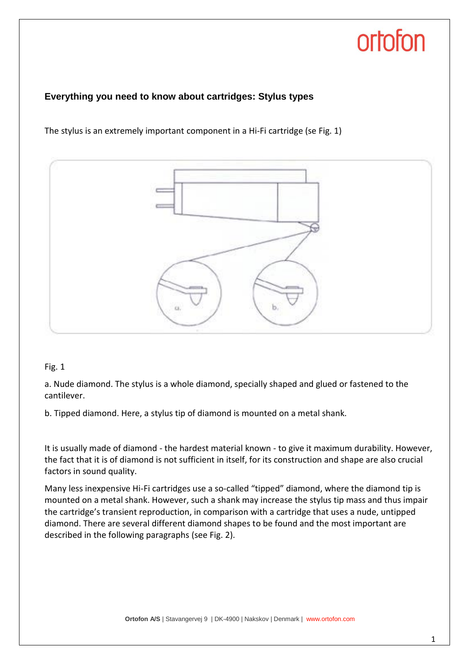## ortofon

#### **Everything you need to know about cartridges: Stylus types**

The stylus is an extremely important component in a Hi-Fi cartridge (se Fig. 1)



#### Fig. 1

a. Nude diamond. The stylus is a whole diamond, specially shaped and glued or fastened to the cantilever.

b. Tipped diamond. Here, a stylus tip of diamond is mounted on a metal shank.

It is usually made of diamond - the hardest material known - to give it maximum durability. However, the fact that it is of diamond is not sufficient in itself, for its construction and shape are also crucial factors in sound quality.

Many less inexpensive Hi-Fi cartridges use a so-called "tipped" diamond, where the diamond tip is mounted on a metal shank. However, such a shank may increase the stylus tip mass and thus impair the cartridge's transient reproduction, in comparison with a cartridge that uses a nude, untipped diamond. There are several different diamond shapes to be found and the most important are described in the following paragraphs (see Fig. 2).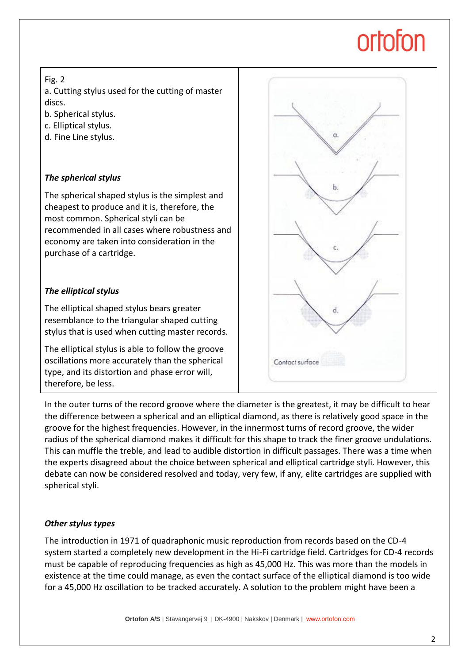# ortofon

#### Fig. 2

a. Cutting stylus used for the cutting of master discs.

- b. Spherical stylus.
- c. Elliptical stylus.
- d. Fine Line stylus.

### *The spherical stylus*

The spherical shaped stylus is the simplest and cheapest to produce and it is, therefore, the most common. Spherical styli can be recommended in all cases where robustness and economy are taken into consideration in the purchase of a cartridge.

### *The elliptical stylus*

The elliptical shaped stylus bears greater resemblance to the triangular shaped cutting stylus that is used when cutting master records.

The elliptical stylus is able to follow the groove oscillations more accurately than the spherical type, and its distortion and phase error will, therefore, be less.



In the outer turns of the record groove where the diameter is the greatest, it may be difficult to hear the difference between a spherical and an elliptical diamond, as there is relatively good space in the groove for the highest frequencies. However, in the innermost turns of record groove, the wider radius of the spherical diamond makes it difficult for this shape to track the finer groove undulations. This can muffle the treble, and lead to audible distortion in difficult passages. There was a time when the experts disagreed about the choice between spherical and elliptical cartridge styli. However, this debate can now be considered resolved and today, very few, if any, elite cartridges are supplied with spherical styli.

#### *Other stylus types*

The introduction in 1971 of quadraphonic music reproduction from records based on the CD-4 system started a completely new development in the Hi-Fi cartridge field. Cartridges for CD-4 records must be capable of reproducing frequencies as high as 45,000 Hz. This was more than the models in existence at the time could manage, as even the contact surface of the elliptical diamond is too wide for a 45,000 Hz oscillation to be tracked accurately. A solution to the problem might have been a